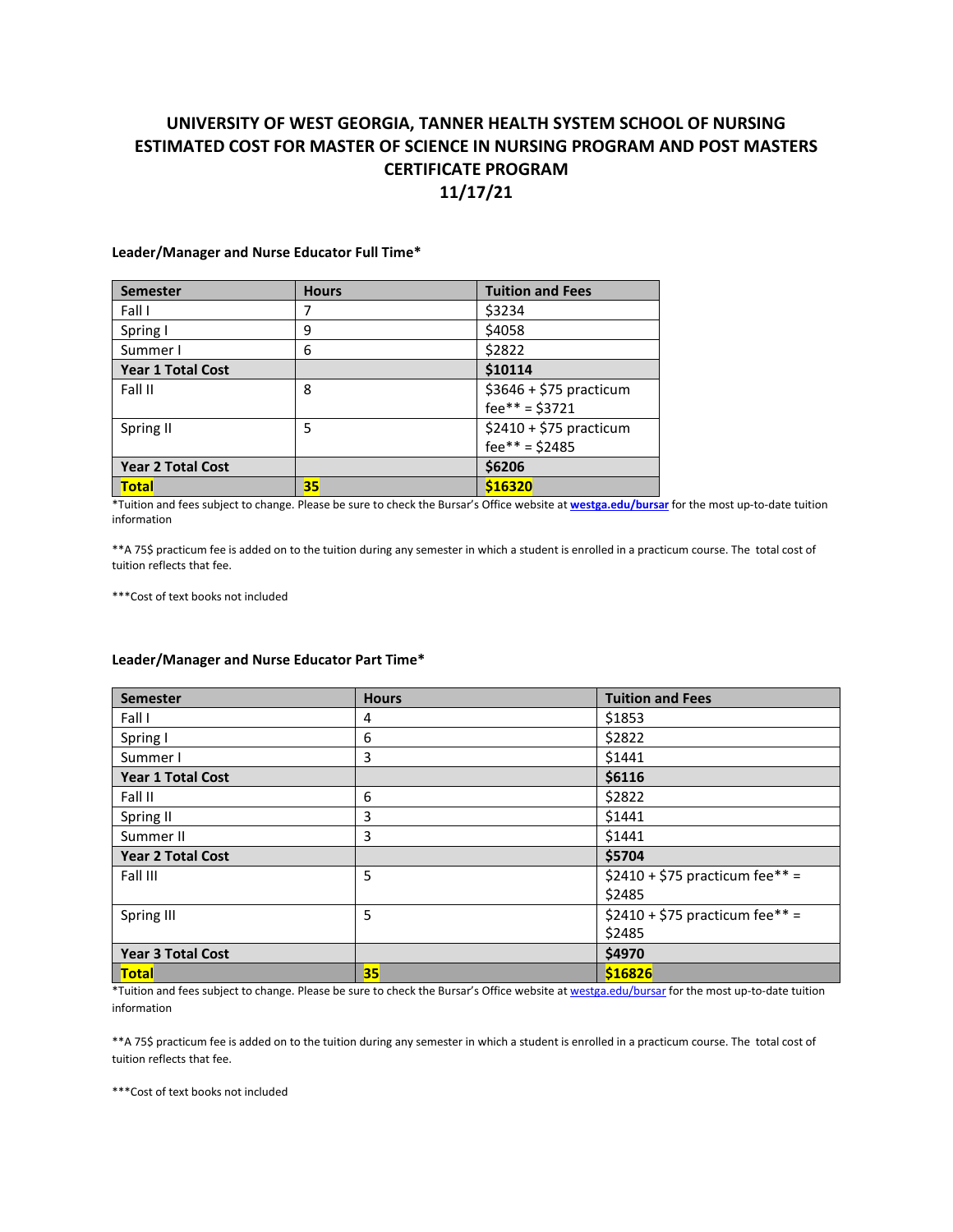## **UNIVERSITY OF WEST GEORGIA, TANNER HEALTH SYSTEM SCHOOL OF NURSING ESTIMATED COST FOR MASTER OF SCIENCE IN NURSING PROGRAM AND POST MASTERS CERTIFICATE PROGRAM 11/17/21**

**Leader/Manager and Nurse Educator Full Time\***

| <b>Semester</b>          | <b>Hours</b> | <b>Tuition and Fees</b> |
|--------------------------|--------------|-------------------------|
| Fall I                   | 7            | \$3234                  |
| Spring I                 | 9            | \$4058                  |
| Summer I                 | 6            | \$2822                  |
| Year 1 Total Cost        |              | \$10114                 |
| Fall II                  | 8            | \$3646 + \$75 practicum |
|                          |              | $fee^{**} = $3721$      |
| Spring II                | 5            | $$2410 + $75$ practicum |
|                          |              | $fee^{**} = $2485$      |
| <b>Year 2 Total Cost</b> |              | \$6206                  |
| <b>Total</b>             | 35           | \$16320                 |

\*Tuition and fees subject to change. Please be sure to check the Bursar's Office website at **[westga.edu/bursar](https://www.westga.edu/bursar/)** for the most up-to-date tuition information

\*\*A 75\$ practicum fee is added on to the tuition during any semester in which a student is enrolled in a practicum course. The total cost of tuition reflects that fee.

\*\*\*Cost of text books not included

## **Leader/Manager and Nurse Educator Part Time\***

| <b>Semester</b>          | <b>Hours</b> | <b>Tuition and Fees</b>         |
|--------------------------|--------------|---------------------------------|
| Fall I                   | 4            | \$1853                          |
| Spring I                 | 6            | \$2822                          |
| Summer I                 | 3            | \$1441                          |
| Year 1 Total Cost        |              | \$6116                          |
| Fall II                  | 6            | \$2822                          |
| Spring II                | 3            | \$1441                          |
| Summer II                | 3            | \$1441                          |
| <b>Year 2 Total Cost</b> |              | \$5704                          |
| Fall III                 | 5            | \$2410 + \$75 practicum fee** = |
|                          |              | \$2485                          |
| Spring III               | 5            | \$2410 + \$75 practicum fee** = |
|                          |              | \$2485                          |
| <b>Year 3 Total Cost</b> |              | \$4970                          |
| <b>Total</b>             | 35           | \$16826                         |

\*Tuition and fees subject to change. Please be sure to check the Bursar's Office website a[t westga.edu/bursar](https://www.westga.edu/bursar/) for the most up-to-date tuition information

\*\*A 75\$ practicum fee is added on to the tuition during any semester in which a student is enrolled in a practicum course. The total cost of tuition reflects that fee.

\*\*\*Cost of text books not included